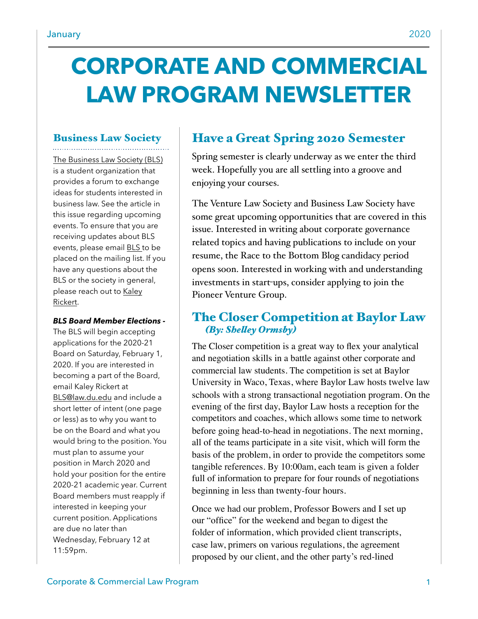# **CORPORATE AND COMMERCIAL LAW PROGRAM NEWSLETTER**

# Business Law Society

[The Business Law Society \(BLS\)](https://www.law.du.edu/studentorgs/business-law-society)  is a student organization that provides a forum to exchange ideas for students interested in business law. See the article in this issue regarding upcoming events. To ensure that you are receiving updates about BLS events, please email [BLS](mailto:BLS@law.du.edu) to be placed on the mailing list. If you have any questions about the BLS or the society in general, please reach out to [Kaley](mailto:krickert21@law.du.edu)  [Rickert.](mailto:krickert21@law.du.edu)

#### *BLS Board Member Elections -*

The BLS will begin accepting applications for the 2020-21 Board on Saturday, February 1, 2020. If you are interested in becoming a part of the Board, email Kaley Rickert at [BLS@law.du.edu](mailto:BLS@law.du.edu) and include a short letter of intent (one page or less) as to why you want to be on the Board and what you would bring to the position. You must plan to assume your position in March 2020 and hold your position for the entire 2020-21 academic year. Current Board members must reapply if interested in keeping your current position. Applications are due no later than Wednesday, February 12 at 11:59pm.

# Have a Great Spring 2020 Semester

Spring semester is clearly underway as we enter the third week. Hopefully you are all settling into a groove and enjoying your courses.

The Venture Law Society and Business Law Society have some great upcoming opportunities that are covered in this issue. Interested in writing about corporate governance related topics and having publications to include on your resume, the Race to the Bottom Blog candidacy period opens soon. Interested in working with and understanding investments in start-ups, consider applying to join the Pioneer Venture Group.

## The Closer Competition at Baylor Law  *(By: Sheley Ormsby)*

The Closer competition is a great way to flex your analytical and negotiation skills in a battle against other corporate and commercial law students. The competition is set at Baylor University in Waco, Texas, where Baylor Law hosts twelve law schools with a strong transactional negotiation program. On the evening of the first day, Baylor Law hosts a reception for the competitors and coaches, which allows some time to network before going head-to-head in negotiations. The next morning, all of the teams participate in a site visit, which will form the basis of the problem, in order to provide the competitors some tangible references. By 10:00am, each team is given a folder full of information to prepare for four rounds of negotiations beginning in less than twenty-four hours.

Once we had our problem, Professor Bowers and I set up our "office" for the weekend and began to digest the folder of information, which provided client transcripts, case law, primers on various regulations, the agreement proposed by our client, and the other party's red-lined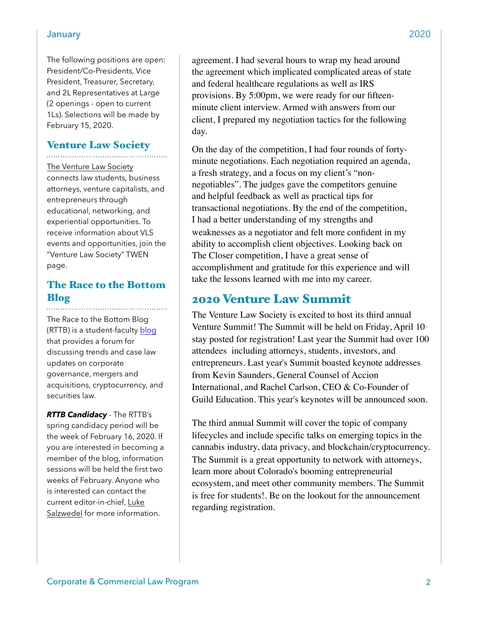#### January 2020

The following positions are open: President/Co-Presidents, Vice President, Treasurer, Secretary, and 2L Representatives at Large (2 openings - open to current 1Ls). Selections will be made by February 15, 2020.

# Venture Law Society

[The Venture Law Society](https://www.law.du.edu/studentorgs/venture-law-society)  connects law students, business attorneys, venture capitalists, and entrepreneurs through educational, networking, and experiential opportunities. To receive information about VLS events and opportunities, join the "Venture Law Society" TWEN page.

# The Race to the Bottom Blog

The Race to the Bottom Blog (RTTB) is a student-faculty [blog](http://www.theracetothebottom.org/) that provides a forum for discussing trends and case law updates on corporate governance, mergers and acquisitions, cryptocurrency, and securities law.

*RTTB Candidacy* - The RTTB's spring candidacy period will be the week of February 16, 2020. If you are interested in becoming a member of the blog, information sessions will be held the first two weeks of February. Anyone who is interested can contact the current editor-in-chief, [Luke](mailto:lsalzwedel20@law.du.edu)  [Salzwedel](mailto:lsalzwedel20@law.du.edu) for more information.

Corporate & Commercial Law Program 2

agreement. I had several hours to wrap my head around the agreement which implicated complicated areas of state and federal healthcare regulations as well as IRS provisions. By 5:00pm, we were ready for our fifteenminute client interview. Armed with answers from our client, I prepared my negotiation tactics for the following day.

On the day of the competition, I had four rounds of fortyminute negotiations. Each negotiation required an agenda, a fresh strategy, and a focus on my client's "nonnegotiables". The judges gave the competitors genuine and helpful feedback as well as practical tips for transactional negotiations. By the end of the competition, I had a better understanding of my strengths and weaknesses as a negotiator and felt more confident in my ability to accomplish client objectives. Looking back on The Closer competition, I have a great sense of accomplishment and gratitude for this experience and will take the lessons learned with me into my career.

## 2020 Venture Law Summit

The Venture Law Society is excited to host its third annual Venture Summit! The Summit will be held on Friday, April 10 stay posted for registration! Last year the Summit had over 100 attendees including attorneys, students, investors, and entrepreneurs. Last year's Summit boasted keynote addresses from Kevin Saunders, General Counsel of Accion International, and Rachel Carlson, CEO & Co-Founder of Guild Education. This year's keynotes will be announced soon.

The third annual Summit will cover the topic of company lifecycles and include specific talks on emerging topics in the cannabis industry, data privacy, and blockchain/cryptocurrency. The Summit is a great opportunity to network with attorneys, learn more about Colorado's booming entrepreneurial ecosystem, and meet other community members. The Summit is free for students!. Be on the lookout for the announcement regarding registration.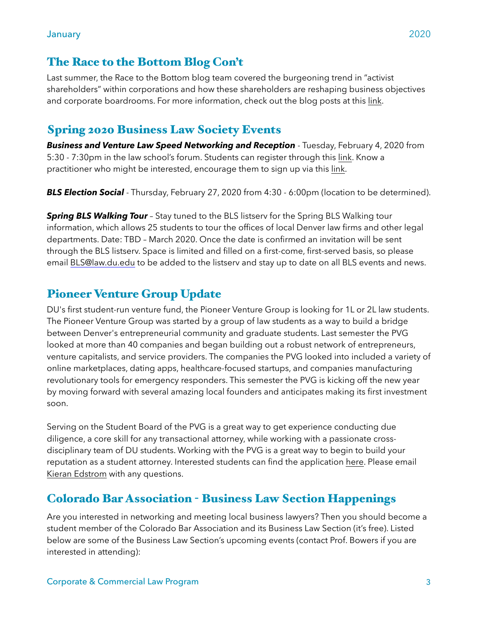## The Race to the Bottom Blog Con't

Last summer, the Race to the Bottom blog team covered the burgeoning trend in "activist shareholders" within corporations and how these shareholders are reshaping business objectives and corporate boardrooms. For more information, check out the blog posts at this [link](https://www.theracetothebottom.org/rttb/category/Featured+Topic).

# Spring 2020 Business Law Society Events

*Business and Venture Law Speed Networking and Reception* - Tuesday, February 4, 2020 from 5:30 - 7:30pm in the law school's forum. Students can register through this [link.](https://forms.gle/56zPVUrU5gD5JNjH8) Know a practitioner who might be interested, encourage them to sign up via this [link.](https://udenver.qualtrics.com/jfe/form/SV_b8IceihjbGuxzPn)

**BLS Election Social** - Thursday, February 27, 2020 from 4:30 - 6:00pm (location to be determined).

**Spring BLS Walking Tour** - Stay tuned to the BLS listsery for the Spring BLS Walking tour information, which allows 25 students to tour the offices of local Denver law firms and other legal departments. Date: TBD – March 2020. Once the date is confirmed an invitation will be sent through the BLS listserv. Space is limited and filled on a first-come, first-served basis, so please email [BLS@law.du.edu](mailto:BLS@law.du.edu) to be added to the listserv and stay up to date on all BLS events and news.

# Pioneer Venture Group Update

DU's first student-run venture fund, the Pioneer Venture Group is looking for 1L or 2L law students. The Pioneer Venture Group was started by a group of law students as a way to build a bridge between Denver's entrepreneurial community and graduate students. Last semester the PVG looked at more than 40 companies and began building out a robust network of entrepreneurs, venture capitalists, and service providers. The companies the PVG looked into included a variety of online marketplaces, dating apps, healthcare-focused startups, and companies manufacturing revolutionary tools for emergency responders. This semester the PVG is kicking off the new year by moving forward with several amazing local founders and anticipates making its first investment soon.

Serving on the Student Board of the PVG is a great way to get experience conducting due diligence, a core skill for any transactional attorney, while working with a passionate crossdisciplinary team of DU students. Working with the PVG is a great way to begin to build your reputation as a student attorney. Interested students can find the application [here.](https://projectxite.typeform.com/to/ykkgM0) Please email [Kieran Edstrom](mailto:kedstrom20@law.du.edu%20) with any questions.

# Colorado Bar Association - Business Law Section Happenings

Are you interested in networking and meeting local business lawyers? Then you should become a student member of the Colorado Bar Association and its Business Law Section (it's free). Listed below are some of the Business Law Section's upcoming events (contact Prof. Bowers if you are interested in attending):